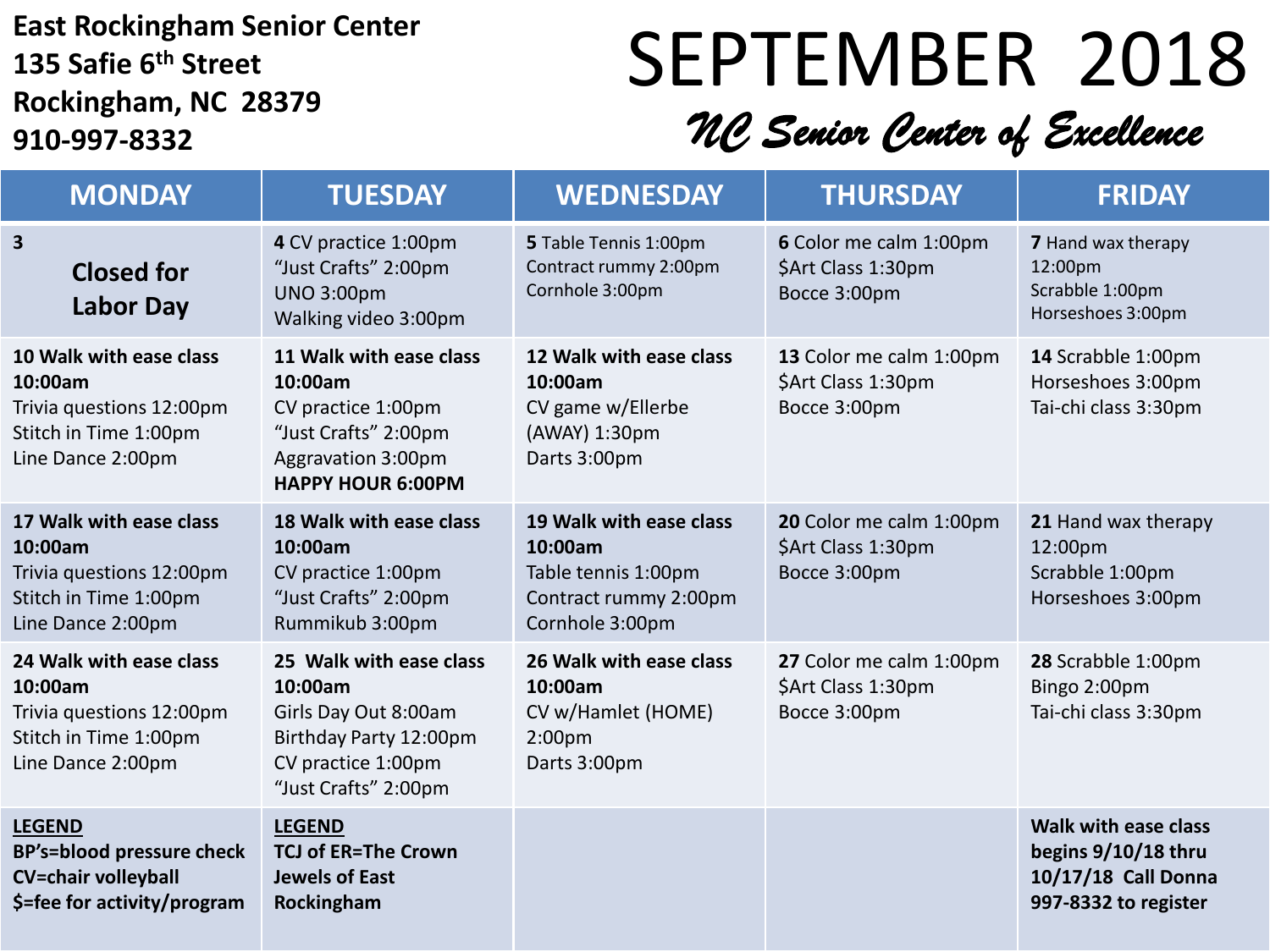#### **East Rockingham Senior Center 135 Safie 6th Street Rockingham, NC 28379 910-997-8332**

# SEPTEMBER 2018

### *NC Senior Center of Excellence*

| <b>MONDAY</b>                                                                                                  | <b>TUESDAY</b>                                                                                                                     | <b>WEDNESDAY</b>                                                                                      | <b>THURSDAY</b>                                               | <b>FRIDAY</b>                                                                              |
|----------------------------------------------------------------------------------------------------------------|------------------------------------------------------------------------------------------------------------------------------------|-------------------------------------------------------------------------------------------------------|---------------------------------------------------------------|--------------------------------------------------------------------------------------------|
| $\mathbf{3}$<br><b>Closed for</b><br><b>Labor Day</b>                                                          | 4 CV practice 1:00pm<br>"Just Crafts" 2:00pm<br><b>UNO 3:00pm</b><br>Walking video 3:00pm                                          | 5 Table Tennis 1:00pm<br>Contract rummy 2:00pm<br>Cornhole 3:00pm                                     | 6 Color me calm 1:00pm<br>\$Art Class 1:30pm<br>Bocce 3:00pm  | <b>7</b> Hand wax therapy<br>12:00pm<br>Scrabble 1:00pm<br>Horseshoes 3:00pm               |
| 10 Walk with ease class<br>10:00am<br>Trivia questions 12:00pm<br>Stitch in Time 1:00pm<br>Line Dance 2:00pm   | 11 Walk with ease class<br>10:00am<br>CV practice 1:00pm<br>"Just Crafts" 2:00pm<br>Aggravation 3:00pm<br><b>HAPPY HOUR 6:00PM</b> | 12 Walk with ease class<br>10:00am<br>CV game w/Ellerbe<br>(AWAY) 1:30pm<br>Darts 3:00pm              | 13 Color me calm 1:00pm<br>\$Art Class 1:30pm<br>Bocce 3:00pm | 14 Scrabble 1:00pm<br>Horseshoes 3:00pm<br>Tai-chi class 3:30pm                            |
| 17 Walk with ease class<br>10:00am<br>Trivia questions 12:00pm<br>Stitch in Time 1:00pm<br>Line Dance 2:00pm   | 18 Walk with ease class<br>10:00am<br>CV practice 1:00pm<br>"Just Crafts" 2:00pm<br>Rummikub 3:00pm                                | 19 Walk with ease class<br>10:00am<br>Table tennis 1:00pm<br>Contract rummy 2:00pm<br>Cornhole 3:00pm | 20 Color me calm 1:00pm<br>\$Art Class 1:30pm<br>Bocce 3:00pm | 21 Hand wax therapy<br>12:00pm<br>Scrabble 1:00pm<br>Horseshoes 3:00pm                     |
| 24 Walk with ease class<br>10:00am<br>Trivia questions 12:00pm<br>Stitch in Time 1:00pm<br>Line Dance 2:00pm   | 25 Walk with ease class<br>10:00am<br>Girls Day Out 8:00am<br>Birthday Party 12:00pm<br>CV practice 1:00pm<br>"Just Crafts" 2:00pm | 26 Walk with ease class<br>10:00am<br>CV w/Hamlet (HOME)<br>$2:00p$ m<br>Darts 3:00pm                 | 27 Color me calm 1:00pm<br>\$Art Class 1:30pm<br>Bocce 3:00pm | 28 Scrabble 1:00pm<br>Bingo 2:00pm<br>Tai-chi class 3:30pm                                 |
| <b>LEGEND</b><br><b>BP's=blood pressure check</b><br><b>CV=chair volleyball</b><br>\$=fee for activity/program | <b>LEGEND</b><br><b>TCJ of ER=The Crown</b><br><b>Jewels of East</b><br>Rockingham                                                 |                                                                                                       |                                                               | Walk with ease class<br>begins 9/10/18 thru<br>10/17/18 Call Donna<br>997-8332 to register |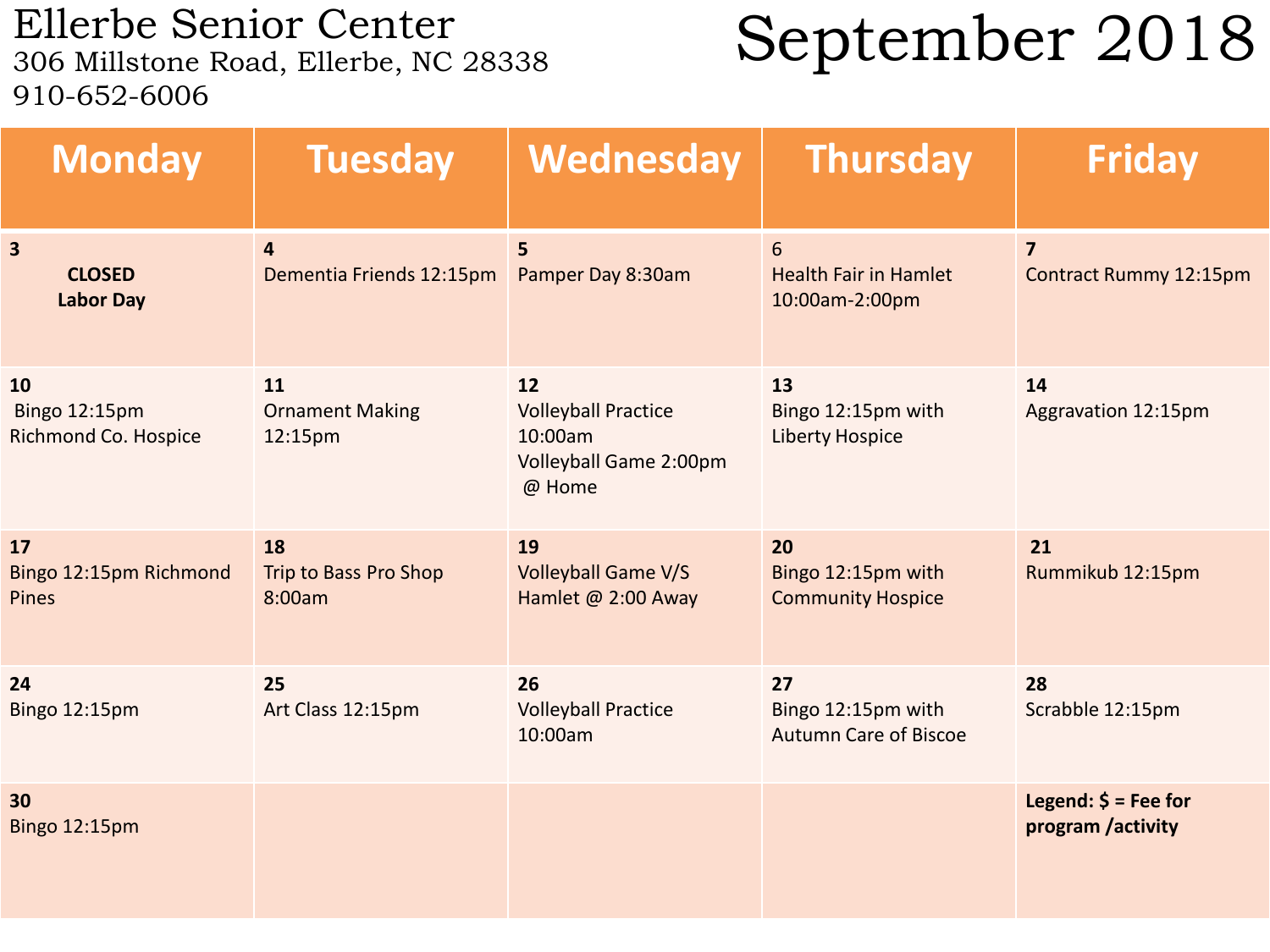Ellerbe Senior Center<br>306 Millstone Road, Ellerbe, NC 28338 910-652-6006

### September 2018

| <b>Monday</b>                                                | <b>Tuesday</b>                             | Wednesday                                                                       | <b>Thursday</b>                                          | <b>Friday</b>                              |
|--------------------------------------------------------------|--------------------------------------------|---------------------------------------------------------------------------------|----------------------------------------------------------|--------------------------------------------|
| $\overline{\mathbf{3}}$<br><b>CLOSED</b><br><b>Labor Day</b> | $\overline{4}$<br>Dementia Friends 12:15pm | 5<br>Pamper Day 8:30am                                                          | 6<br><b>Health Fair in Hamlet</b><br>10:00am-2:00pm      | $\overline{7}$<br>Contract Rummy 12:15pm   |
| 10<br>Bingo 12:15pm<br>Richmond Co. Hospice                  | 11<br><b>Ornament Making</b><br>12:15pm    | 12<br><b>Volleyball Practice</b><br>10:00am<br>Volleyball Game 2:00pm<br>@ Home | 13<br>Bingo 12:15pm with<br><b>Liberty Hospice</b>       | 14<br>Aggravation 12:15pm                  |
| 17<br>Bingo 12:15pm Richmond<br>Pines                        | 18<br>Trip to Bass Pro Shop<br>8:00am      | 19<br><b>Volleyball Game V/S</b><br>Hamlet @ 2:00 Away                          | 20<br>Bingo 12:15pm with<br><b>Community Hospice</b>     | 21<br>Rummikub 12:15pm                     |
| 24<br>Bingo 12:15pm                                          | 25<br>Art Class 12:15pm                    | 26<br><b>Volleyball Practice</b><br>10:00am                                     | 27<br>Bingo 12:15pm with<br><b>Autumn Care of Biscoe</b> | 28<br>Scrabble 12:15pm                     |
| 30<br><b>Bingo 12:15pm</b>                                   |                                            |                                                                                 |                                                          | Legend: $$ = Fee for$<br>program /activity |